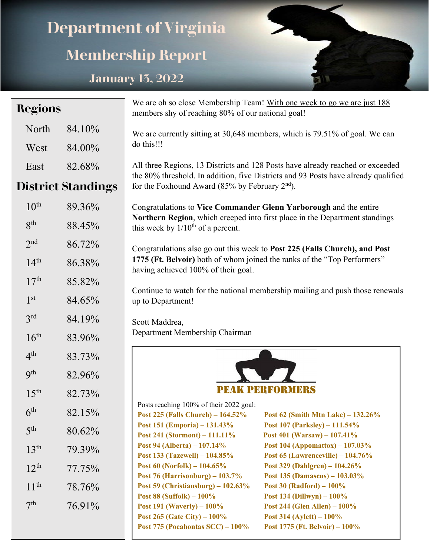## **Department of Virginia Membership Report January 13, 2022**

| Regions                   |                                                                                                                                                  | We are oh so close Membership Team! With one week to go we are just 188                                                                                                                                                                                                                                                                                                                                                                                                                                                                                                                                                   |  |  |  |  |  |
|---------------------------|--------------------------------------------------------------------------------------------------------------------------------------------------|---------------------------------------------------------------------------------------------------------------------------------------------------------------------------------------------------------------------------------------------------------------------------------------------------------------------------------------------------------------------------------------------------------------------------------------------------------------------------------------------------------------------------------------------------------------------------------------------------------------------------|--|--|--|--|--|
| 84.10%                    |                                                                                                                                                  | We are currently sitting at 30,648 members, which is 79.51% of goal. We can                                                                                                                                                                                                                                                                                                                                                                                                                                                                                                                                               |  |  |  |  |  |
| 84.00%                    | do this!!!                                                                                                                                       |                                                                                                                                                                                                                                                                                                                                                                                                                                                                                                                                                                                                                           |  |  |  |  |  |
| 82.68%                    |                                                                                                                                                  | All three Regions, 13 Districts and 128 Posts have already reached or exceeded                                                                                                                                                                                                                                                                                                                                                                                                                                                                                                                                            |  |  |  |  |  |
| <b>District Standings</b> | the 80% threshold. In addition, five Districts and 93 Posts have already qualified<br>for the Foxhound Award (85% by February 2 <sup>nd</sup> ). |                                                                                                                                                                                                                                                                                                                                                                                                                                                                                                                                                                                                                           |  |  |  |  |  |
| 89.36%                    |                                                                                                                                                  |                                                                                                                                                                                                                                                                                                                                                                                                                                                                                                                                                                                                                           |  |  |  |  |  |
| 88.45%                    | this week by $1/10^{th}$ of a percent.                                                                                                           | Northern Region, which creeped into first place in the Department standings                                                                                                                                                                                                                                                                                                                                                                                                                                                                                                                                               |  |  |  |  |  |
| 86.72%                    |                                                                                                                                                  |                                                                                                                                                                                                                                                                                                                                                                                                                                                                                                                                                                                                                           |  |  |  |  |  |
| 86.38%                    |                                                                                                                                                  | 1775 (Ft. Belvoir) both of whom joined the ranks of the "Top Performers"                                                                                                                                                                                                                                                                                                                                                                                                                                                                                                                                                  |  |  |  |  |  |
| 85.82%                    |                                                                                                                                                  |                                                                                                                                                                                                                                                                                                                                                                                                                                                                                                                                                                                                                           |  |  |  |  |  |
| 84.65%                    | up to Department!                                                                                                                                | Continue to watch for the national membership mailing and push those renewals                                                                                                                                                                                                                                                                                                                                                                                                                                                                                                                                             |  |  |  |  |  |
| 84.19%                    |                                                                                                                                                  |                                                                                                                                                                                                                                                                                                                                                                                                                                                                                                                                                                                                                           |  |  |  |  |  |
| 83.96%                    | Department Membership Chairman                                                                                                                   |                                                                                                                                                                                                                                                                                                                                                                                                                                                                                                                                                                                                                           |  |  |  |  |  |
|                           |                                                                                                                                                  |                                                                                                                                                                                                                                                                                                                                                                                                                                                                                                                                                                                                                           |  |  |  |  |  |
|                           |                                                                                                                                                  |                                                                                                                                                                                                                                                                                                                                                                                                                                                                                                                                                                                                                           |  |  |  |  |  |
|                           |                                                                                                                                                  |                                                                                                                                                                                                                                                                                                                                                                                                                                                                                                                                                                                                                           |  |  |  |  |  |
|                           |                                                                                                                                                  |                                                                                                                                                                                                                                                                                                                                                                                                                                                                                                                                                                                                                           |  |  |  |  |  |
| 82.15%                    | Post 225 (Falls Church) - 164.52%                                                                                                                | Post $62$ (Smith Mtn Lake) – $132.26\%$                                                                                                                                                                                                                                                                                                                                                                                                                                                                                                                                                                                   |  |  |  |  |  |
| 80.62%                    |                                                                                                                                                  | Post $107$ (Parksley) – $111.54\%$<br>Post 401 (Warsaw) $-107.41\%$                                                                                                                                                                                                                                                                                                                                                                                                                                                                                                                                                       |  |  |  |  |  |
|                           | Post 94 (Alberta) – 107.14%                                                                                                                      | Post 104 (Appomattox) – $107.03\%$                                                                                                                                                                                                                                                                                                                                                                                                                                                                                                                                                                                        |  |  |  |  |  |
|                           |                                                                                                                                                  | Post $65$ (Lawrenceville) – $104.76\%$<br>Post 329 (Dahlgren) – $104.26\%$                                                                                                                                                                                                                                                                                                                                                                                                                                                                                                                                                |  |  |  |  |  |
|                           |                                                                                                                                                  | Post 135 (Damascus) $-103.03\%$                                                                                                                                                                                                                                                                                                                                                                                                                                                                                                                                                                                           |  |  |  |  |  |
| 78.76%                    | Post 59 (Christiansburg) $-102.63\%$                                                                                                             | Post $30$ (Radford) - $100\%$                                                                                                                                                                                                                                                                                                                                                                                                                                                                                                                                                                                             |  |  |  |  |  |
|                           | Post $88$ (Suffolk) $-100\%$                                                                                                                     | Post 134 (Dillwyn) $-100\%$                                                                                                                                                                                                                                                                                                                                                                                                                                                                                                                                                                                               |  |  |  |  |  |
|                           |                                                                                                                                                  | Post 244 (Glen Allen) $-100\%$<br>Post 314 (Aylett) $-100\%$                                                                                                                                                                                                                                                                                                                                                                                                                                                                                                                                                              |  |  |  |  |  |
|                           |                                                                                                                                                  | Post 1775 (Ft. Belvoir) $-100\%$                                                                                                                                                                                                                                                                                                                                                                                                                                                                                                                                                                                          |  |  |  |  |  |
|                           | 83.73%<br>82.96%<br>82.73%<br>79.39%<br>77.75%<br>76.91%                                                                                         | members shy of reaching 80% of our national goal!<br>Congratulations to Vice Commander Glenn Yarborough and the entire<br>Congratulations also go out this week to Post 225 (Falls Church), and Post<br>having achieved 100% of their goal.<br>Scott Maddrea,<br><b>PEAK PERFORM</b><br>Posts reaching 100% of their 2022 goal:<br>Post 151 (Emporia) - 131.43%<br>Post 241 (Stormont) – 111.11%<br>Post 133 (Tazewell) – 104.85%<br>Post $60$ (Norfolk) – $104.65\%$<br>Post 76 (Harrisonburg) $-103.7\%$<br><b>Post 191 (Waverly)</b> $- 100\%$<br>Post 265 (Gate City) $-100\%$<br>Post 775 (Pocahontas $SCC$ ) – 100% |  |  |  |  |  |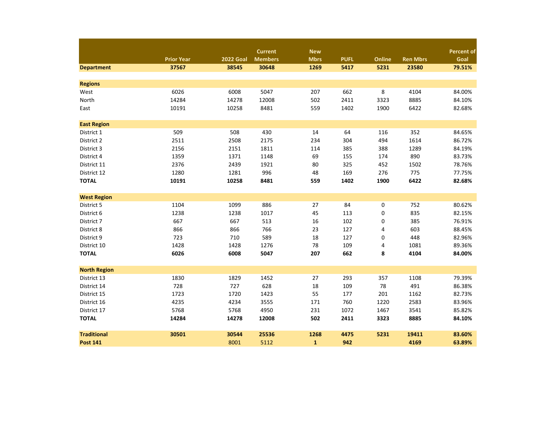|                     |                   |                  | <b>Current</b> | <b>New</b>   |             |        |                 | <b>Percent of</b> |
|---------------------|-------------------|------------------|----------------|--------------|-------------|--------|-----------------|-------------------|
|                     | <b>Prior Year</b> | <b>2022 Goal</b> | <b>Members</b> | <b>Mbrs</b>  | <b>PUFL</b> | Online | <b>Ren Mbrs</b> | Goal              |
| <b>Department</b>   | 37567             | 38545            | 30648          | 1269         | 5417        | 5231   | 23580           | 79.51%            |
| <b>Regions</b>      |                   |                  |                |              |             |        |                 |                   |
| West                | 6026              | 6008             | 5047           | 207          | 662         | 8      | 4104            | 84.00%            |
| North               | 14284             | 14278            | 12008          | 502          | 2411        | 3323   | 8885            | 84.10%            |
| East                | 10191             | 10258            | 8481           | 559          | 1402        | 1900   | 6422            | 82.68%            |
| <b>East Region</b>  |                   |                  |                |              |             |        |                 |                   |
| District 1          | 509               | 508              | 430            | 14           | 64          | 116    | 352             | 84.65%            |
| District 2          | 2511              | 2508             | 2175           | 234          | 304         | 494    | 1614            | 86.72%            |
| District 3          | 2156              | 2151             | 1811           | 114          | 385         | 388    | 1289            | 84.19%            |
| District 4          | 1359              | 1371             | 1148           | 69           | 155         | 174    | 890             | 83.73%            |
| District 11         | 2376              | 2439             | 1921           | 80           | 325         | 452    | 1502            | 78.76%            |
| District 12         | 1280              | 1281             | 996            | 48           | 169         | 276    | 775             | 77.75%            |
| <b>TOTAL</b>        | 10191             | 10258            | 8481           | 559          | 1402        | 1900   | 6422            | 82.68%            |
| <b>West Region</b>  |                   |                  |                |              |             |        |                 |                   |
| District 5          | 1104              | 1099             | 886            | 27           | 84          | 0      | 752             | 80.62%            |
| District 6          | 1238              | 1238             | 1017           | 45           | 113         | 0      | 835             | 82.15%            |
| District 7          | 667               | 667              | 513            | 16           | 102         | 0      | 385             | 76.91%            |
| District 8          | 866               | 866              | 766            | 23           | 127         | 4      | 603             | 88.45%            |
| District 9          | 723               | 710              | 589            | 18           | 127         | 0      | 448             | 82.96%            |
| District 10         | 1428              | 1428             | 1276           | 78           | 109         | 4      | 1081            | 89.36%            |
| <b>TOTAL</b>        | 6026              | 6008             | 5047           | 207          | 662         | 8      | 4104            | 84.00%            |
| <b>North Region</b> |                   |                  |                |              |             |        |                 |                   |
| District 13         | 1830              | 1829             | 1452           | 27           | 293         | 357    | 1108            | 79.39%            |
| District 14         | 728               | 727              | 628            | 18           | 109         | 78     | 491             | 86.38%            |
| District 15         | 1723              | 1720             | 1423           | 55           | 177         | 201    | 1162            | 82.73%            |
| District 16         | 4235              | 4234             | 3555           | 171          | 760         | 1220   | 2583            | 83.96%            |
| District 17         | 5768              | 5768             | 4950           | 231          | 1072        | 1467   | 3541            | 85.82%            |
| <b>TOTAL</b>        | 14284             | 14278            | 12008          | 502          | 2411        | 3323   | 8885            | 84.10%            |
| <b>Traditional</b>  | 30501             | 30544            | 25536          | 1268         | 4475        | 5231   | 19411           | 83.60%            |
| <b>Post 141</b>     |                   | 8001             | 5112           | $\mathbf{1}$ | 942         |        | 4169            | 63.89%            |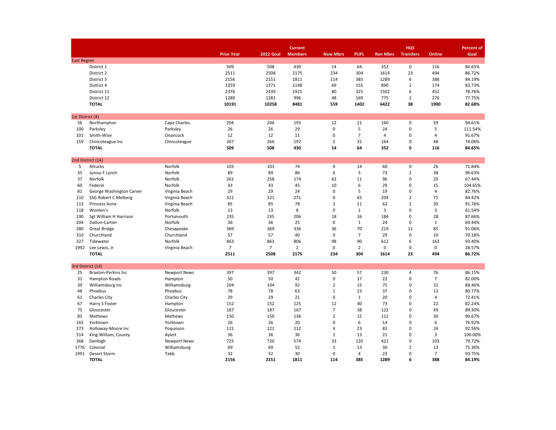|                    |                                          |                     |                   |                  | <b>Current</b> |                 |                |                 | <b>HQS</b>       |                | <b>Percent of</b> |
|--------------------|------------------------------------------|---------------------|-------------------|------------------|----------------|-----------------|----------------|-----------------|------------------|----------------|-------------------|
|                    |                                          |                     | <b>Prior Year</b> | <b>2022 Goal</b> | <b>Members</b> | <b>New Mbrs</b> | <b>PUFL</b>    | <b>Ren Mbrs</b> | <b>Transfers</b> | Online         | Goal              |
| <b>East Region</b> |                                          |                     |                   |                  |                |                 |                |                 |                  |                |                   |
|                    | District 1                               |                     | 509               | 508              | 430            | 14              | 64             | 352             | $\pmb{0}$        | 116            | 84.65%            |
|                    | District 2                               |                     | 2511              | 2508             | 2175           | 234             | 304            | 1614            | 23               | 494            | 86.72%            |
|                    | District 3                               |                     | 2156              | 2151             | 1811           | 114             | 385            | 1289            | 6                | 388            | 84.19%            |
|                    | District 4                               |                     | 1359              | 1371             | 1148           | 69              | 155            | 890             | $\mathbf 1$      | 174            | 83.73%            |
|                    | District 11                              |                     | 2376              | 2439             | 1921           | 80              | 325            | 1502            | 6                | 452            | 78.76%            |
|                    | District 12                              |                     | 1280              | 1281             | 996            | 48              | 169            | 775             | $\mathbf 2$      | 276            | 77.75%            |
|                    | <b>TOTAL</b>                             |                     | 10191             | 10258            | 8481           | 559             | 1402           | 6422            | 38               | 1900           | 82.68%            |
| 1st District (4)   |                                          |                     |                   |                  |                |                 |                |                 |                  |                |                   |
| 56                 | Northampton                              | Cape Charles        | 204               | 204              | 193            | 12              | 21             | 160             | 0                | 59             | 94.61%            |
| 100                | Parksley                                 | Parksley            | 26                | 26               | 29             | $\pmb{0}$       | 5              | 24              | $\pmb{0}$        | 5              | 111.54%           |
| 101                | Smith-Wise                               | Onancock            | 12                | 12               | 11             | $\mathbf 0$     | $\overline{7}$ | 4               | $\mathbf 0$      | $\overline{4}$ | 91.67%            |
| 159                | Chincoteague Inc                         | Chincoteague        | 267               | 266              | 197            | $\overline{2}$  | 31             | 164             | $\mathsf 0$      | 48             | 74.06%            |
|                    | <b>TOTAL</b>                             |                     | 509               | 508              | 430            | 14              | 64             | 352             | 0                | 116            | 84.65%            |
|                    | 2nd District (14)                        |                     |                   |                  |                |                 |                |                 |                  |                |                   |
| 5                  | Attucks                                  | Norfolk             | 103               | 103              | 74             | 0               | 14             | 60              | $\mathbf 0$      | 26             | 71.84%            |
| 35                 | Junius F Lynch                           | Norfolk             | 89                | 89               | 86             | 6               | 5              | 73              | $\overline{2}$   | 38             | 96.63%            |
| 37                 | Norfolk                                  | Norfolk             | 261               | 258              | 174            | 63              | 11             | 96              | $\pmb{0}$        | 20             | 67.44%            |
| 60                 | Federal                                  | Norfolk             | 43                | 43               | 45             | 10              | 6              | 29              | $\mathbf 0$      | 15             | 104.65%           |
| 81                 | George Washington Carver                 | Virginia Beach      | 29                | 29               | 24             | 0               | 5              | 19              | $\pmb{0}$        | 4              | 82.76%            |
| 110                | SSG Robert C Melberg                     | Virginia Beach      | 321               | 321              | 271            | 0               | 65             | 204             | $\overline{2}$   | 71             | 84.42%            |
| 113                | Princess Anne                            | Virginia Beach      | 85                | 85               | 78             | 3               | 11             | 62              | $\overline{2}$   | 30             | 91.76%            |
| 118                | Women's                                  | Norfolk             | 13                | 13               | 8              | $\pmb{0}$       | $\mathbf 1$    | 3               | $\pmb{0}$        | 3              | 61.54%            |
| 190                | Sgt William H Harrison                   | Portsmouth          | 235               | 235              | 206            | 18              | 16             | 184             | $\mathsf 0$      | 28             | 87.66%            |
| 204                | Dalton-Cartier                           | Norfolk             | 36                | 36               | 25             | 0               | $\mathbf{1}$   | 24              | $\mathsf 0$      | $\mathbf{1}$   | 69.44%            |
| 280                | <b>Great Bridge</b>                      | Chesapeake          | 369               | 369              | 336            | 36              | 70             | 219             | 11               | 85             | 91.06%            |
| 310                | Churchland                               | Churchland          | 57                | 57               | 40             | $\mathbf 0$     | $\overline{7}$ | 29              | $\mathbf 0$      | 10             | 70.18%            |
| 327                | Tidewater                                | Norfolk             | 863               | 863              | 806            | 98              | 90             | 612             | 6                | 163            | 93.40%            |
| 1992               | Lee Lewis, Jr                            | Virginia Beach      | $\overline{7}$    | $\overline{7}$   | $\overline{2}$ | $\mathbf 0$     | $\overline{2}$ | 0               | $\mathbf 0$      | $\mathbf 0$    | 28.57%            |
|                    | <b>TOTAL</b>                             |                     | 2511              | 2508             | 2175           | 234             | 304            | 1614            | 23               | 494            | 86.72%            |
|                    |                                          |                     |                   |                  |                |                 |                |                 |                  |                |                   |
| 25                 | 3rd District (14)<br>Braxton-Perkins Inc | <b>Newport News</b> | 397               | 397              | 342            | 50              | 57             | 230             | 4                | 76             | 86.15%            |
| 31                 | Hampton Roads                            | Hampton             | 50                | 50               | 41             | 0               | 17             | 22              | $\pmb{0}$        | $\overline{7}$ | 82.00%            |
| 39                 | Williamsburg Inc                         | Williamsburg        | 104               | 104              | 92             | $\overline{2}$  | 15             | 75              | $\mathsf 0$      | 31             | 88.46%            |
| 48                 | Phoebus                                  | Phoebus             | 78                | 78               | 63             | $\mathbf 1$     | 23             | 37              | $\pmb{0}$        | 13             | 80.77%            |
| 61                 | Charles City                             | <b>Charles City</b> | 29                | 29               | 21             | $\mathbf 0$     | $\mathbf{1}$   | 20              | $\mathbf 0$      | $\overline{4}$ | 72.41%            |
| 67                 | Harry S Foster                           | Hampton             | 152               | 152              | 125            | 12              | 40             | 73              | $\mathsf 0$      | 22             | 82.24%            |
| 75                 | Gloucester                               | Gloucester          | 187               | 187              | 167            | $\overline{7}$  | 38             | 122             | $\mathbf 0$      | 49             | 89.30%            |
| 83                 | Mathews                                  | Mathews             | 150               | 150              | 136            | $\overline{2}$  | 15             | 112             | $\mathbf 0$      | 30             | 90.67%            |
| 165                | Yorktown                                 | Yorktown            | 26                | 26               | 20             | $\pmb{0}$       | 6              | 14              | $\mathbf 0$      | 6              | 76.92%            |
| 273                | Holloway-Moore Inc                       | Poquoson            | 121               | 121              | 112            | 4               | 23             | 83              | $\mathsf 0$      | 24             | 92.56%            |
| 314                | King William, County                     | Aylett              | 36                | 36               | 36             | $\overline{2}$  | 13             | 21              | $\mathbf 0$      | 3              | 100.00%           |
| 368                | Denbigh                                  | <b>Newport News</b> | 725               | 720              | 574            | 33              | 120            | 421             | $\mathbf 0$      | 103            | 79.72%            |
| 1776               | Colonial                                 | Williamsburg        | 69                | 69               | 52             | $\mathbf{1}$    | 13             | 36              | $\overline{2}$   | 13             | 75.36%            |
| 1991               | Desert Storm                             | Tabb                | 32                | 32               | 30             | $\mathbf 0$     | 4              | 23              | $\mathbf 0$      | $\overline{7}$ | 93.75%            |
|                    | <b>TOTAL</b>                             |                     | 2156              | 2151             | 1811           | 114             | 385            | 1289            | 6                | 388            | 84.19%            |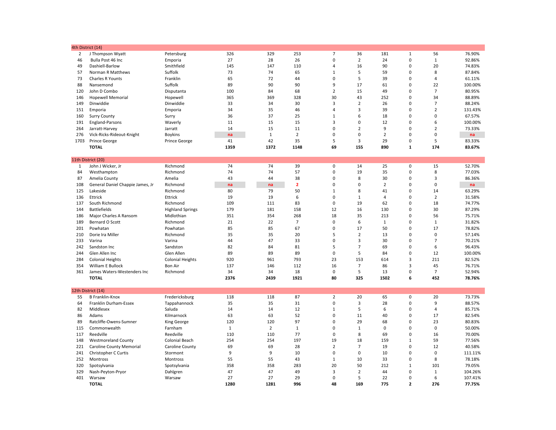|                | 4th District (14)                |                         |              |                |                |                |                |                |                |                |         |
|----------------|----------------------------------|-------------------------|--------------|----------------|----------------|----------------|----------------|----------------|----------------|----------------|---------|
| $\overline{2}$ | J Thompson Wyatt                 | Petersburg              | 326          | 329            | 253            | $\overline{7}$ | 36             | 181            | $\mathbf{1}$   | 56             | 76.90%  |
| 46             | Bulla Post 46 Inc                | Emporia                 | 27           | 28             | 26             | $\mathbf 0$    | $\overline{2}$ | 24             | $\mathbf 0$    | $\mathbf{1}$   | 92.86%  |
| 49             | Dashiell-Barlow                  | Smithfield              | 145          | 147            | 110            | $\overline{4}$ | 16             | 90             | $\mathbf 0$    | 20             | 74.83%  |
| 57             | Norman R Matthews                | Suffolk                 | 73           | 74             | 65             | $\mathbf 1$    | 5              | 59             | $\mathbf 0$    | 8              | 87.84%  |
| 73             | Charles R Younts                 | Franklin                | 65           | 72             | 44             | 0              | 5              | 39             | $\mathbf 0$    | $\overline{a}$ | 61.11%  |
| 88             | Nansemond                        | Suffolk                 | 89           | 90             | 90             | 9              | 17             | 61             | $\mathbf 0$    | 22             | 100.00% |
| 120            | John D Combo                     | Disputanta              | 100          | 84             | 68             | $\overline{2}$ | 15             | 49             | $\mathbf 0$    | $\overline{7}$ | 80.95%  |
| 146            | <b>Hopewell Memorial</b>         | Hopewell                | 365          | 369            | 328            | 30             | 43             | 252            | $\mathbf 0$    | 34             | 88.89%  |
| 149            | Dinwiddie                        | Dinwiddie               | 33           | 34             | 30             | 3              | $\overline{2}$ | 26             | $\mathbf 0$    | $\overline{7}$ | 88.24%  |
| 151            | Emporia                          | Emporia                 | 34           | 35             | 46             | $\overline{4}$ | 3              | 39             | $\mathbf 0$    | $\overline{2}$ | 131.43% |
| 160            | <b>Surry County</b>              | Surry                   | 36           | 37             | 25             | $\mathbf 1$    | 6              | 18             | $\mathbf 0$    | $\mathbf 0$    | 67.57%  |
| 191            | England-Parsons                  | Waverly                 | 11           | 15             | 15             | $\overline{3}$ | $\mathbf 0$    | 12             | $\mathbf 0$    | 6              | 100.00% |
| 264            | Jarratt-Harvey                   | Jarratt                 | 14           | 15             | 11             | 0              | $\overline{2}$ | 9              | $\mathbf 0$    | $\overline{2}$ | 73.33%  |
| 276            | Vick-Ricks-Rideout-Knight        | Boykins                 | na           | $\mathbf{1}$   | $\overline{2}$ | $\mathbf 0$    | $\mathbf 0$    | $\overline{2}$ | $\mathbf 0$    | $\mathbf 0$    | na      |
| 1703           | Prince George                    | Prince George           | 41           | 42             | 35             | 5              | $\overline{3}$ | 29             | $\mathbf 0$    | 5              | 83.33%  |
|                | <b>TOTAL</b>                     |                         | 1359         | 1372           | 1148           | 69             | 155            | 890            | $\mathbf{1}$   | 174            | 83.67%  |
|                |                                  |                         |              |                |                |                |                |                |                |                |         |
|                | 11th District (20)               |                         |              |                |                |                |                |                |                |                |         |
| 1              | John J Wicker, Jr                | Richmond                | 74           | 74             | 39             | $\mathbf 0$    | 14             | 25             | $\mathsf 0$    | 15             | 52.70%  |
| 84             | Westhampton                      | Richmond                | 74           | 74             | 57             | 0              | 19             | 35             | 0              | 8              | 77.03%  |
|                |                                  |                         | 43           | 44             | 38             | 0              | 8              | 30             | $\mathsf 0$    | 3              |         |
| 87             | Amelia County                    | Amelia                  |              |                |                | $\Omega$       |                |                |                |                | 86.36%  |
| 108            | General Daniel Chappie James, Jr | Richmond                | na           | na             | $\overline{2}$ |                | $\mathbf 0$    | $\overline{2}$ | $\mathbf 0$    | $\mathbf 0$    | na      |
| 125            | Lakeside                         | Richmond                | 80           | 79             | 50             | $\mathbf{1}$   | 8              | 41             | 0              | 14             | 63.29%  |
| 136            | Ettrick                          | Ettrick                 | 19           | 19             | 6              | $\mathbf 0$    | $\mathbf{1}$   | $\overline{4}$ | $\mathbf 0$    | $\overline{2}$ | 31.58%  |
| 137            | South Richmond                   | Richmond                | 109          | 111            | 83             | 0              | 19             | 62             | $\mathbf 0$    | 18             | 74.77%  |
| 144            | <b>Battlefields</b>              | <b>Highland Springs</b> | 179          | 181            | 158            | 12             | 16             | 130            | $\mathsf 0$    | 30             | 87.29%  |
| 186            | Major Charles A Ransom           | Midlothian              | 351          | 354            | 268            | 18             | 35             | 213            | $\mathbf 0$    | 56             | 75.71%  |
| 189            | Bernard O Scott                  | Richmond                | 21           | 22             | $\overline{7}$ | 0              | 6              | $\mathbf{1}$   | $\mathsf 0$    | $\mathbf{1}$   | 31.82%  |
| 201            | Powhatan                         | Powhatan                | 85           | 85             | 67             | 0              | 17             | 50             | $\pmb{0}$      | 17             | 78.82%  |
| 210            | Dorie Ira Miller                 | Richmond                | 35           | 35             | 20             | 5              | $\overline{2}$ | 13             | $\mathbf 0$    | $\mathbf 0$    | 57.14%  |
| 233            | Varina                           | Varina                  | 44           | 47             | 33             | $\mathbf 0$    | 3              | 30             | $\mathsf 0$    | $\overline{7}$ | 70.21%  |
| 242            | Sandston Inc                     | Sandston                | 82           | 84             | 81             | 5              | $\overline{7}$ | 69             | $\mathsf 0$    | 6              | 96.43%  |
| 244            | Glen Allen Inc                   | Glen Allen              | 89           | 89             | 89             | 0              | 5              | 84             | $\mathsf 0$    | 12             | 100.00% |
| 284            | <b>Colonial Heights</b>          | <b>Colonial Heights</b> | 920          | 961            | 793            | 23             | 153            | 614            | 3              | 211            | 82.52%  |
| 354            | William E Bullock                | <b>Bon Air</b>          | 137          | 146            | 112            | 16             | $\overline{7}$ | 86             | 3              | 45             | 76.71%  |
| 361            | James Waters-Westenders Inc      | Richmond                | 34           | 34             | 18             | 0              | 5              | 13             | $\mathsf 0$    | $\overline{7}$ | 52.94%  |
|                | <b>TOTAL</b>                     |                         | 2376         | 2439           | 1921           | 80             | 325            | 1502           | 6              | 452            | 78.76%  |
|                |                                  |                         |              |                |                |                |                |                |                |                |         |
|                | 12th District (14)               |                         |              |                |                |                |                |                |                |                |         |
| 55             | <b>B Franklin-Knox</b>           | Fredericksburg          | 118          | 118            | 87             | $\overline{2}$ | 20             | 65             | $\mathsf 0$    | 20             | 73.73%  |
| 64             | Franklin Durham-Essex            | Tappahannock            | 35           | 35             | 31             | $\mathbf 0$    | 3              | 28             | $\mathsf 0$    | 9              | 88.57%  |
| 82             | Middlesex                        | Saluda                  | 14           | 14             | 12             | $\mathbf{1}$   | 5              | 6              | $\mathbf 0$    | 4              | 85.71%  |
| 86             | Adams                            | Kilmarnock              | 63           | 63             | 52             | 0              | 11             | 40             | 0              | 17             | 82.54%  |
| 89             | Ratcliffe-Owens-Sumner           | King George             | 120          | 120            | 97             | 0              | 29             | 68             | $\mathbf 0$    | 23             | 80.83%  |
| 115            | Commonwealth                     | Farnham                 | $\mathbf{1}$ | $\overline{2}$ | $\mathbf{1}$   | $\Omega$       | $\mathbf{1}$   | $\mathbf 0$    | $\mathbf 0$    | $\mathbf 0$    | 50.00%  |
| 117            | Reedville                        | Reedville               | 110          | 110            | 77             | $\mathbf 0$    | 8              | 69             | $\mathsf 0$    | 16             | 70.00%  |
| 148            | <b>Westmoreland County</b>       | Colonial Beach          | 254          | 254            | 197            | 19             | 18             | 159            | $\mathbf{1}$   | 59             | 77.56%  |
| 221            | <b>Caroline County Memorial</b>  | Caroline County         | 69           | 69             | 28             | $\overline{2}$ | $\overline{7}$ | 19             | $\mathbf 0$    | 12             | 40.58%  |
| 241            | Christopher C Curtis             | Stormont                | 9            | 9              | 10             | $\mathbf 0$    | $\mathbf 0$    | 10             | $\mathbf 0$    | $\mathbf{0}$   | 111.11% |
|                |                                  |                         |              | 55             | 43             | $\mathbf 1$    | 10             |                | $\mathbf 0$    | 8              |         |
| 252            | Montross                         | Montross                | 55           |                |                |                | 50             | 33             |                |                | 78.18%  |
| 320            | Spotsylvania                     | Spotsylvania            | 358          | 358            | 283            | 20             |                | 212            | $\mathbf{1}$   | 101            | 79.05%  |
| 329            | Nash-Peyton-Pryor                | Dahlgren                | 47           | 47             | 49             | 3              | $\overline{2}$ | 44             | $\mathsf 0$    | $\mathbf 1$    | 104.26% |
| 401            | Warsaw                           | Warsaw                  | 27           | 27             | 29             | $\mathbf 0$    | 5              | 22             | $\mathbf 0$    | 6              | 107.41% |
|                | <b>TOTAL</b>                     |                         | 1280         | 1281           | 996            | 48             | 169            | 775            | $\overline{2}$ | 276            | 77.75%  |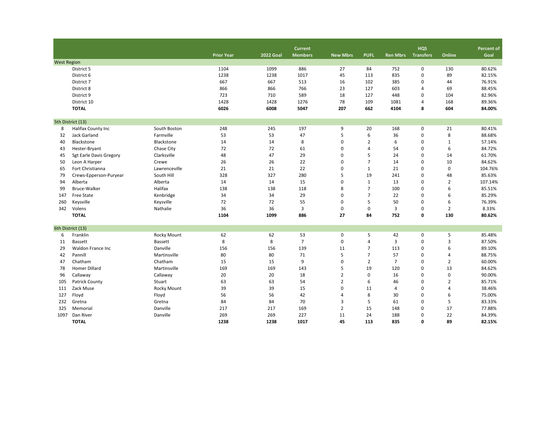|                    |                         |                |                   |                  | <b>Current</b> |                 |                |                 | <b>HQS</b>       |                | Percent of |
|--------------------|-------------------------|----------------|-------------------|------------------|----------------|-----------------|----------------|-----------------|------------------|----------------|------------|
|                    |                         |                | <b>Prior Year</b> | <b>2022 Goal</b> | <b>Members</b> | <b>New Mbrs</b> | <b>PUFL</b>    | <b>Ren Mbrs</b> | <b>Transfers</b> | Online         | Goal       |
| <b>West Region</b> |                         |                |                   |                  |                |                 |                |                 |                  |                |            |
|                    | District 5              |                | 1104              | 1099             | 886            | 27              | 84             | 752             | 0                | 130            | 80.62%     |
|                    | District 6              |                | 1238              | 1238             | 1017           | 45              | 113            | 835             | 0                | 89             | 82.15%     |
|                    | District 7              |                | 667               | 667              | 513            | 16              | 102            | 385             | 0                | 44             | 76.91%     |
|                    | District 8              |                | 866               | 866              | 766            | 23              | 127            | 603             | 4                | 69             | 88.45%     |
|                    | District 9              |                | 723               | 710              | 589            | 18              | 127            | 448             | 0                | 104            | 82.96%     |
|                    | District 10             |                | 1428              | 1428             | 1276           | 78              | 109            | 1081            | $\overline{4}$   | 168            | 89.36%     |
|                    | <b>TOTAL</b>            |                | 6026              | 6008             | 5047           | 207             | 662            | 4104            | 8                | 604            | 84.00%     |
|                    | 5th District (13)       |                |                   |                  |                |                 |                |                 |                  |                |            |
| 8                  | Halifax County Inc      | South Boston   | 248               | 245              | 197            | 9               | 20             | 168             | 0                | 21             | 80.41%     |
| 32                 | Jack Garland            | Farmville      | 53                | 53               | 47             | 5               | 6              | 36              | $\mathbf 0$      | 8              | 88.68%     |
| 40                 | Blackstone              | Blackstone     | 14                | 14               | 8              | $\pmb{0}$       | $\overline{2}$ | 6               | 0                | $\mathbf{1}$   | 57.14%     |
| 43                 | Hester-Bryant           | Chase City     | 72                | 72               | 61             | $\mathbf 0$     | $\overline{4}$ | 54              | 0                | 6              | 84.72%     |
| 45                 | Sgt Earle Davis Gregory | Clarksville    | 48                | 47               | 29             | $\mathbf 0$     | 5              | 24              | 0                | 14             | 61.70%     |
| 50                 | Leon A Harper           | Crewe          | 26                | 26               | 22             | $\mathbf 0$     | $\overline{7}$ | 14              | 0                | 10             | 84.62%     |
| 65                 | Fort Christianna        | Lawrenceville  | 21                | 21               | 22             | $\mathbf 0$     | $\mathbf{1}$   | 21              | 0                | $\mathbf 0$    | 104.76%    |
| 79                 | Crews-Epperson-Puryear  | South Hill     | 328               | 327              | 280            | 5               | 19             | 241             | 0                | 48             | 85.63%     |
| 94                 | Alberta                 | Alberta        | 14                | 14               | 15             | $\Omega$        | $\mathbf{1}$   | 13              | 0                | $\overline{2}$ | 107.14%    |
| 99                 | Bruce-Walker            | Halifax        | 138               | 138              | 118            | 8               | $\overline{7}$ | 100             | $\mathbf 0$      | 6              | 85.51%     |
| 147                | Free State              | Kenbridge      | 34                | 34               | 29             | $\mathbf 0$     | $\overline{7}$ | 22              | 0                | 6              | 85.29%     |
| 260                | Keysville               | Keysville      | 72                | 72               | 55             | $\mathbf 0$     | 5              | 50              | 0                | 6              | 76.39%     |
| 342                | Volens                  | Nathalie       | 36                | 36               | 3              | $\mathbf 0$     | $\mathsf 0$    | 3               | 0                | $\overline{2}$ | 8.33%      |
|                    | <b>TOTAL</b>            |                | 1104              | 1099             | 886            | 27              | 84             | 752             | 0                | 130            | 80.62%     |
|                    | 6th District (13)       |                |                   |                  |                |                 |                |                 |                  |                |            |
| 6                  | Franklin                | Rocky Mount    | 62                | 62               | 53             | $\pmb{0}$       | 5              | 42              | $\mathsf 0$      | 5              | 85.48%     |
| 11                 | <b>Bassett</b>          | <b>Bassett</b> | 8                 | 8                | $\overline{7}$ | $\mathbf 0$     | $\overline{4}$ | 3               | 0                | 3              | 87.50%     |
| 29                 | Waldon France Inc       | Danville       | 156               | 156              | 139            | 11              | $\overline{7}$ | 113             | 0                | 6              | 89.10%     |
| 42                 | Pannill                 | Martinsville   | 80                | 80               | 71             | 5               | $\overline{7}$ | 57              | 0                | $\overline{4}$ | 88.75%     |
| 47                 | Chatham                 | Chatham        | 15                | 15               | 9              | $\mathbf 0$     | $\overline{2}$ | $\overline{7}$  | 0                | $\overline{2}$ | 60.00%     |
| 78                 | <b>Homer Dillard</b>    | Martinsville   | 169               | 169              | 143            | 5               | 19             | 120             | 0                | 13             | 84.62%     |
| 96                 | Callaway                | Callaway       | 20                | 20               | 18             | $\overline{2}$  | $\pmb{0}$      | 16              | 0                | $\mathsf 0$    | 90.00%     |
| 105                | Patrick County          | Stuart         | 63                | 63               | 54             | $\overline{2}$  | 6              | 46              | 0                | $\overline{2}$ | 85.71%     |
| 111                | Zack Muse               | Rocky Mount    | 39                | 39               | 15             | 0               | 11             | 4               | 0                | $\overline{4}$ | 38.46%     |
| 127                | Floyd                   | Floyd          | 56                | 56               | 42             | $\overline{4}$  | 8              | 30              | 0                | 6              | 75.00%     |
| 232                | Gretna                  | Gretna         | 84                | 84               | 70             | 3               | 5              | 61              | 0                | 5              | 83.33%     |
| 325                | Memorial                | Danville       | 217               | 217              | 169            | $\overline{2}$  | 15             | 148             | 0                | 17             | 77.88%     |
| 1097               | Dan River               | Danville       | 269               | 269              | 227            | 11              | 24             | 188             | 0                | 22             | 84.39%     |
|                    | <b>TOTAL</b>            |                | 1238              | 1238             | 1017           | 45              | 113            | 835             | 0                | 89             | 82.15%     |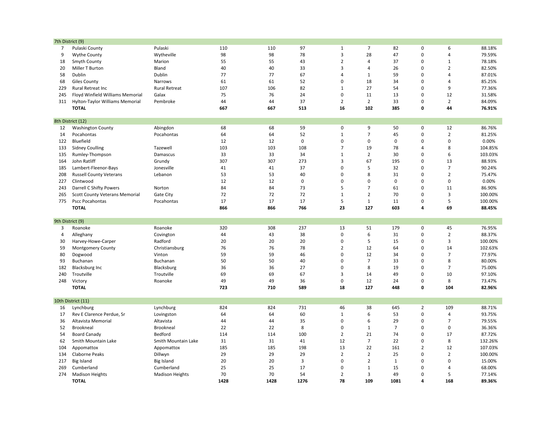| 7th District (9) |                                               |                        |      |      |                |                |                |                |                |                |         |
|------------------|-----------------------------------------------|------------------------|------|------|----------------|----------------|----------------|----------------|----------------|----------------|---------|
| 7                | Pulaski County                                | Pulaski                | 110  | 110  | 97             | $\mathbf 1$    | $\overline{7}$ | 82             | $\mathbf 0$    | 6              | 88.18%  |
| 9                | <b>Wythe County</b>                           | Wytheville             | 98   | 98   | 78             | 3              | 28             | 47             | $\mathbf 0$    | 4              | 79.59%  |
| 18               | Smyth County                                  | Marion                 | 55   | 55   | 43             | $\overline{2}$ | $\overline{4}$ | 37             | $\mathbf 0$    | $\mathbf 1$    | 78.18%  |
| 20               | Miller T Burton                               | Bland                  | 40   | 40   | 33             | 3              | $\overline{4}$ | 26             | $\pmb{0}$      | $\overline{2}$ | 82.50%  |
| 58               | Dublin                                        | Dublin                 | 77   | 77   | 67             | 4              | $\mathbf{1}$   | 59             | $\mathbf 0$    | 4              | 87.01%  |
| 68               | Giles County                                  | <b>Narrows</b>         | 61   | 61   | 52             | $\mathbf 0$    | 18             | 34             | $\mathbf 0$    | 4              | 85.25%  |
| 229              | Rural Retreat Inc                             | <b>Rural Retreat</b>   | 107  | 106  | 82             | $\mathbf 1$    | 27             | 54             | $\mathbf 0$    | 9              | 77.36%  |
| 245              | Floyd Winfield Williams Memorial              | Galax                  | 75   | 76   | 24             | 0              | 11             | 13             | $\Omega$       | 12             | 31.58%  |
| 311              | Hylton-Taylor Williams Memorial               | Pembroke               | 44   | 44   | 37             | $\mathbf 2$    | $\overline{2}$ | 33             | $\mathbf 0$    | $\overline{2}$ | 84.09%  |
|                  | <b>TOTAL</b>                                  |                        | 667  | 667  | 513            | 16             | 102            | 385            | $\mathbf{0}$   | 44             | 76.91%  |
|                  |                                               |                        |      |      |                |                |                |                |                |                |         |
| 12               | 8th District (12)<br><b>Washington County</b> | Abingdon               | 68   | 68   | 59             | $\mathbf 0$    | 9              | 50             | 0              | 12             | 86.76%  |
| 14               | Pocahontas                                    | Pocahontas             | 64   | 64   | 52             | $\mathbf{1}$   | $\overline{7}$ | 45             | $\mathbf 0$    | $\overline{2}$ | 81.25%  |
| 122              | Bluefield                                     |                        | 12   | 12   | $\pmb{0}$      | $\mathbf 0$    | $\mathsf 0$    | $\mathbf 0$    | $\mathbf 0$    | 0              | 0.00%   |
| 133              | <b>Sidney Coulling</b>                        | Tazewell               | 103  | 103  | 108            | $\overline{7}$ | 19             | 78             | 4              | 8              | 104.85% |
| 135              | Rumley-Thompson                               | Damascus               | 33   | 33   | 34             | $\mathbf 1$    | $\overline{2}$ | 30             | $\mathbf 0$    | 6              | 103.03% |
| 164              | John Ratliff                                  | Grundy                 | 307  | 307  | 273            | 3              | 67             | 195            | $\mathbf 0$    | 13             | 88.93%  |
| 185              | Lambert-Fleenor-Bays                          | Jonesville             | 41   | 41   | 37             | 0              | 5              | 32             | $\Omega$       | $\overline{7}$ | 90.24%  |
| 208              | <b>Russell County Veterans</b>                | Lebanon                | 53   | 53   | 40             | $\mathbf 0$    | 8              | 31             | $\mathbf 0$    | $\overline{2}$ | 75.47%  |
| 227              | Clintwood                                     |                        | 12   | 12   | $\mathbf 0$    | $\mathbf 0$    | $\mathbf 0$    | $\mathbf 0$    | $\mathbf 0$    | 0              | 0.00%   |
| 243              | Darrell C Shifty Powers                       | Norton                 | 84   | 84   | 73             | 5              | $\overline{7}$ | 61             | $\pmb{0}$      | 11             | 86.90%  |
| 265              | <b>Scott County Veterans Memorial</b>         | Gate City              | 72   | 72   | 72             | $\mathbf{1}$   | $\overline{2}$ | 70             | $\Omega$       | 3              | 100.00% |
| 775              | <b>Pscc Pocahontas</b>                        | Pocahontas             | 17   | 17   | 17             | 5              | $\mathbf{1}$   | 11             | $\mathbf 0$    | 5              | 100.00% |
|                  | <b>TOTAL</b>                                  |                        | 866  | 866  | 766            | 23             | 127            | 603            | 4              | 69             | 88.45%  |
|                  |                                               |                        |      |      |                |                |                |                |                |                |         |
| 9th District (9) |                                               |                        |      |      |                |                |                |                |                |                |         |
| 3                | Roanoke                                       | Roanoke                | 320  | 308  | 237            | 13             | 51             | 179            | $\pmb{0}$      | 45             | 76.95%  |
| $\overline{4}$   | Alleghany                                     | Covington              | 44   | 43   | 38             | $\mathbf 0$    | 6              | 31             | $\mathbf 0$    | $\overline{2}$ | 88.37%  |
| 30               | Harvey-Howe-Carper                            | Radford                | 20   | 20   | 20             | $\pmb{0}$      | 5              | 15             | $\mathbf 0$    | 3              | 100.00% |
| 59               | <b>Montgomery County</b>                      | Christiansburg         | 76   | 76   | 78             | $\overline{2}$ | 12             | 64             | $\mathbf 0$    | 14             | 102.63% |
| 80               | Dogwood                                       | Vinton                 | 59   | 59   | 46             | $\mathbf 0$    | 12             | 34             | $\mathbf 0$    | $\overline{7}$ | 77.97%  |
| 93               | Buchanan                                      | Buchanan               | 50   | 50   | 40             | $\mathbf 0$    | $\overline{7}$ | 33             | $\pmb{0}$      | 8              | 80.00%  |
| 182              | Blacksburg Inc                                | Blacksburg             | 36   | 36   | 27             | 0              | 8              | 19             | $\mathbf 0$    | $\overline{7}$ | 75.00%  |
| 240              | Troutville                                    | Troutville             | 69   | 69   | 67             | 3              | 14             | 49             | $\pmb{0}$      | 10             | 97.10%  |
| 248              | Victory                                       | Roanoke                | 49   | 49   | 36             | $\pmb{0}$      | 12             | 24             | $\pmb{0}$      | 8              | 73.47%  |
|                  | <b>TOTAL</b>                                  |                        | 723  | 710  | 589            | 18             | 127            | 448            | 0              | 104            | 82.96%  |
|                  | 10th District (11)                            |                        |      |      |                |                |                |                |                |                |         |
| 16               | Lynchburg                                     | Lynchburg              | 824  | 824  | 731            | 46             | 38             | 645            | $\overline{2}$ | 109            | 88.71%  |
| 17               | Rev E Clarence Perdue, Sr                     | Lovingston             | 64   | 64   | 60             | $\mathbf 1$    | 6              | 53             | $\mathbf 0$    | $\overline{4}$ | 93.75%  |
| 36               | Altavista Memorial                            | Altavista              | 44   | 44   | 35             | $\mathbf 0$    | 6              | 29             | $\mathbf 0$    | $\overline{7}$ | 79.55%  |
| 52               | Brookneal                                     | Brookneal              | 22   | 22   | 8              | $\pmb{0}$      | $\mathbf{1}$   | $\overline{7}$ | $\mathbf 0$    | 0              | 36.36%  |
| 54               | <b>Board Canady</b>                           | Bedford                | 114  | 114  | 100            | $\overline{2}$ | 21             | 74             | $\Omega$       | 17             | 87.72%  |
| 62               | Smith Mountain Lake                           | Smith Mountain Lake    | 31   | 31   | 41             | 12             | $\overline{7}$ | 22             | $\mathbf 0$    | 8              | 132.26% |
| 104              | Appomattox                                    | Appomattox             | 185  | 185  | 198            | 13             | 22             | 161            | $\overline{2}$ | 12             | 107.03% |
| 134              | Claborne Peaks                                | Dillwyn                | 29   | 29   | 29             | $\overline{2}$ | $\overline{2}$ | 25             | $\pmb{0}$      | $\overline{2}$ | 100.00% |
| 217              | <b>Big Island</b>                             | <b>Big Island</b>      | 20   | 20   | $\overline{3}$ | $\mathbf 0$    | $\overline{2}$ | $\mathbf{1}$   | $\Omega$       | 0              | 15.00%  |
| 269              | Cumberland                                    | Cumberland             | 25   | 25   | 17             | 0              | 1              | 15             | $\mathbf 0$    | 4              | 68.00%  |
| 274              | <b>Madison Heights</b>                        | <b>Madison Heights</b> | 70   | 70   | 54             | $\overline{2}$ | $\overline{3}$ | 49             | $\mathbf 0$    | 5              | 77.14%  |
|                  | <b>TOTAL</b>                                  |                        | 1428 | 1428 | 1276           | 78             | 109            | 1081           | 4              | 168            | 89.36%  |
|                  |                                               |                        |      |      |                |                |                |                |                |                |         |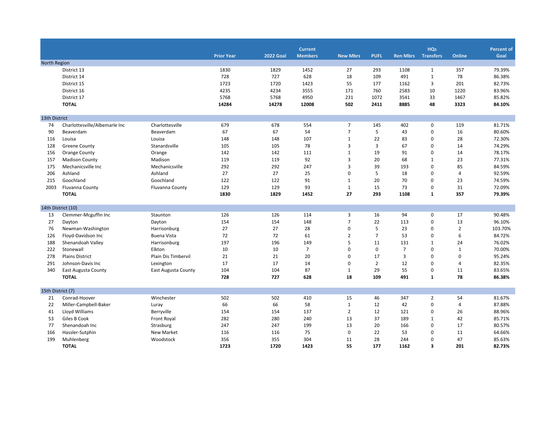|                   |                               |                            | <b>Prior Year</b> | <b>2022 Goal</b> | <b>Current</b><br><b>Members</b> | <b>New Mbrs</b> | <b>PUFL</b>    | <b>Ren Mbrs</b> | <b>HQs</b><br><b>Transfers</b> | <b>Online</b>  | <b>Percent of</b><br>Goal |
|-------------------|-------------------------------|----------------------------|-------------------|------------------|----------------------------------|-----------------|----------------|-----------------|--------------------------------|----------------|---------------------------|
| North Region      |                               |                            |                   |                  |                                  |                 |                |                 |                                |                |                           |
|                   | District 13                   |                            | 1830              | 1829             | 1452                             | 27              | 293            | 1108            | $\mathbf{1}$                   | 357            | 79.39%                    |
|                   | District 14                   |                            | 728               | 727              | 628                              | 18              | 109            | 491             | $\mathbf{1}$                   | 78             | 86.38%                    |
|                   | District 15                   |                            | 1723              | 1720             | 1423                             | 55              | 177            | 1162            | 3                              | 201            | 82.73%                    |
|                   | District 16                   |                            | 4235              | 4234             | 3555                             | 171             | 760            | 2583            | 10                             | 1220           | 83.96%                    |
|                   | District 17                   |                            | 5768              | 5768             | 4950                             | 231             | 1072           | 3541            | 33                             | 1467           | 85.82%                    |
|                   | <b>TOTAL</b>                  |                            | 14284             | 14278            | 12008                            | 502             | 2411           | 8885            | 48                             | 3323           | 84.10%                    |
| 13th District     |                               |                            |                   |                  |                                  |                 |                |                 |                                |                |                           |
| 74                | Charlottesville/Albemarle Inc | Charlottesville            | 679               | 678              | 554                              | $\overline{7}$  | 145            | 402             | $\mathbf 0$                    | 119            | 81.71%                    |
| 90                | Beaverdam                     | Beaverdam                  | 67                | 67               | 54                               | $\overline{7}$  | 5              | 43              | $\mathbf 0$                    | 16             | 80.60%                    |
| 116               | Louisa                        | Louisa                     | 148               | 148              | 107                              | $\mathbf{1}$    | 22             | 83              | 0                              | 28             | 72.30%                    |
| 128               | <b>Greene County</b>          | Stanardsville              | 105               | 105              | 78                               | 3               | 3              | 67              | $\mathbf 0$                    | 14             | 74.29%                    |
| 156               | <b>Orange County</b>          | Orange                     | 142               | 142              | 111                              | $\mathbf{1}$    | 19             | 91              | 0                              | 14             | 78.17%                    |
| 157               | <b>Madison County</b>         | Madison                    | 119               | 119              | 92                               | 3               | 20             | 68              | $\mathbf{1}$                   | 23             | 77.31%                    |
| 175               | Mechanicsville Inc            | Mechanicsville             | 292               | 292              | 247                              | $\overline{3}$  | 39             | 193             | $\mathbf 0$                    | 85             | 84.59%                    |
| 206               | Ashland                       | Ashland                    | 27                | 27               | 25                               | $\mathbf 0$     | 5              | 18              | $\mathbf 0$                    | $\overline{4}$ | 92.59%                    |
| 215               | Goochland                     | Goochland                  | 122               | 122              | 91                               | $\mathbf{1}$    | 20             | 70              | $\mathbf 0$                    | 23             | 74.59%                    |
| 2003              | Fluvanna County               | Fluvanna County            | 129               | 129              | 93                               | 1               | 15             | 73              | $\mathbf 0$                    | 31             | 72.09%                    |
|                   | <b>TOTAL</b>                  |                            | 1830              | 1829             | 1452                             | 27              | 293            | 1108            | $\mathbf{1}$                   | 357            | 79.39%                    |
|                   | 14th District (10)            |                            |                   |                  |                                  |                 |                |                 |                                |                |                           |
| 13                | Clemmer-Mcguffin Inc          | Staunton                   | 126               | 126              | 114                              | $\overline{3}$  | 16             | 94              | $\mathbf 0$                    | 17             | 90.48%                    |
| 27                | Dayton                        | Dayton                     | 154               | 154              | 148                              | $\overline{7}$  | 22             | 113             | $\mathbf 0$                    | 13             | 96.10%                    |
| 76                | Newman-Washington             | Harrisonburg               | 27                | 27               | 28                               | $\mathbf 0$     | 5              | 23              | 0                              | $\overline{2}$ | 103.70%                   |
| 126               | Floyd-Davidson Inc            | <b>Buena Vista</b>         | 72                | 72               | 61                               | $\overline{2}$  | $\overline{7}$ | 53              | $\mathbf 0$                    | 6              | 84.72%                    |
| 188               | Shenandoah Valley             | Harrisonburg               | 197               | 196              | 149                              | 5               | 11             | 131             | $1\,$                          | 24             | 76.02%                    |
| 222               | Stonewall                     | Elkton                     | 10                | 10               | $\overline{7}$                   | $\mathbf 0$     | $\mathbf 0$    | $\overline{7}$  | $\mathbf 0$                    | $\mathbf{1}$   | 70.00%                    |
| 278               | <b>Plains District</b>        | Plain Dis Timbervil        | 21                | 21               | 20                               | $\mathbf 0$     | 17             | $\overline{3}$  | 0                              | $\mathbf 0$    | 95.24%                    |
| 291               | Johnson-Davis Inc             | Lexington                  | 17                | 17               | 14                               | $\Omega$        | $\overline{2}$ | 12              | $\mathbf 0$                    | $\overline{4}$ | 82.35%                    |
| 340               | East Augusta County           | <b>East Augusta County</b> | 104               | 104              | 87                               | 1               | 29             | 55              | 0                              | 11             | 83.65%                    |
|                   | <b>TOTAL</b>                  |                            | 728               | 727              | 628                              | 18              | 109            | 491             | $\mathbf{1}$                   | 78             | 86.38%                    |
| 15th District (7) |                               |                            |                   |                  |                                  |                 |                |                 |                                |                |                           |
| 21                | Conrad-Hoover                 | Winchester                 | 502               | 502              | 410                              | 15              | 46             | 347             | $\overline{2}$                 | 54             | 81.67%                    |
| 22                | Miller-Campbell-Baker         | Luray                      | 66                | 66               | 58                               | $\mathbf{1}$    | 12             | 42              | $\mathbf 0$                    | 4              | 87.88%                    |
| 41                | Lloyd Williams                | Berryville                 | 154               | 154              | 137                              | $\overline{2}$  | 12             | 121             | 0                              | 26             | 88.96%                    |
| 53                | Giles B Cook                  | Front Royal                | 282               | 280              | 240                              | 13              | 37             | 189             | $\mathbf{1}$                   | 42             | 85.71%                    |
| 77                | Shenandoah Inc                | Strasburg                  | 247               | 247              | 199                              | 13              | 20             | 166             | $\mathbf 0$                    | 17             | 80.57%                    |
| 166               | Hassler-Sutphin               | <b>New Market</b>          | 116               | 116              | 75                               | $\mathbf 0$     | 22             | 53              | 0                              | 11             | 64.66%                    |
| 199               | Muhlenberg                    | Woodstock                  | 356               | 355              | 304                              | 11              | 28             | 244             | $\mathbf 0$                    | 47             | 85.63%                    |
|                   | <b>TOTAL</b>                  |                            | 1723              | 1720             | 1423                             | 55              | 177            | 1162            | 3                              | 201            | 82.73%                    |